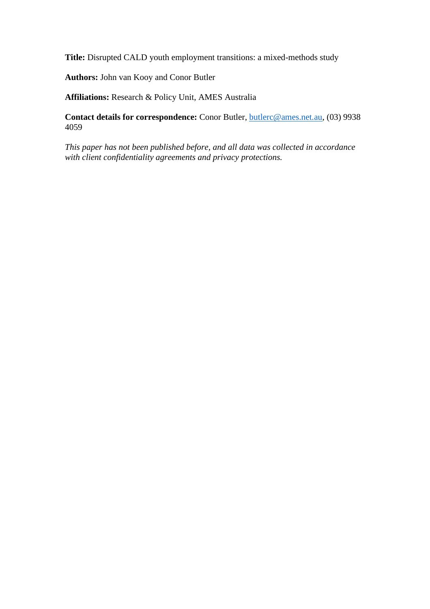**Title:** Disrupted CALD youth employment transitions: a mixed-methods study

**Authors:** John van Kooy and Conor Butler

**Affiliations:** Research & Policy Unit, AMES Australia

**Contact details for correspondence:** Conor Butler, [butlerc@ames.net.au,](mailto:butlerc@ames.net.au) (03) 9938 4059

*This paper has not been published before, and all data was collected in accordance with client confidentiality agreements and privacy protections.*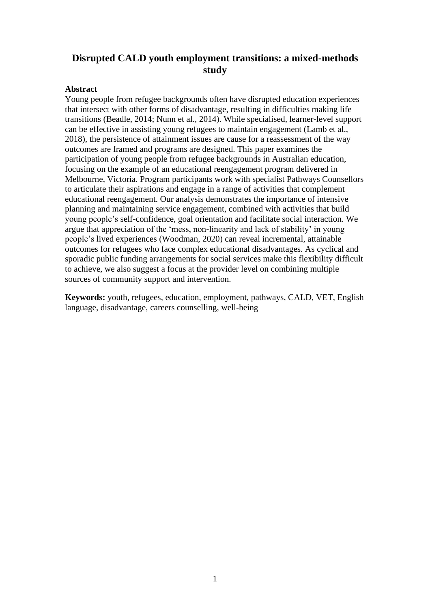# **Disrupted CALD youth employment transitions: a mixed-methods study**

### **Abstract**

Young people from refugee backgrounds often have disrupted education experiences that intersect with other forms of disadvantage, resulting in difficulties making life transitions (Beadle, 2014; Nunn et al., 2014). While specialised, learner-level support can be effective in assisting young refugees to maintain engagement (Lamb et al., 2018), the persistence of attainment issues are cause for a reassessment of the way outcomes are framed and programs are designed. This paper examines the participation of young people from refugee backgrounds in Australian education, focusing on the example of an educational reengagement program delivered in Melbourne, Victoria. Program participants work with specialist Pathways Counsellors to articulate their aspirations and engage in a range of activities that complement educational reengagement. Our analysis demonstrates the importance of intensive planning and maintaining service engagement, combined with activities that build young people's self-confidence, goal orientation and facilitate social interaction. We argue that appreciation of the 'mess, non-linearity and lack of stability' in young people's lived experiences (Woodman, 2020) can reveal incremental, attainable outcomes for refugees who face complex educational disadvantages. As cyclical and sporadic public funding arrangements for social services make this flexibility difficult to achieve, we also suggest a focus at the provider level on combining multiple sources of community support and intervention.

**Keywords:** youth, refugees, education, employment, pathways, CALD, VET, English language, disadvantage, careers counselling, well-being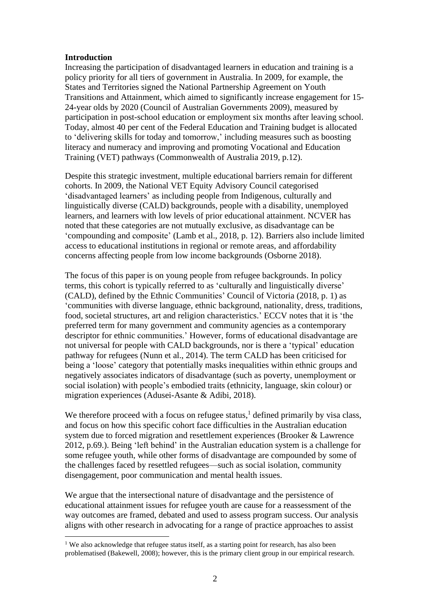## **Introduction**

Increasing the participation of disadvantaged learners in education and training is a policy priority for all tiers of government in Australia. In 2009, for example, the States and Territories signed the National Partnership Agreement on Youth Transitions and Attainment, which aimed to significantly increase engagement for 15- 24-year olds by 2020 (Council of Australian Governments 2009), measured by participation in post-school education or employment six months after leaving school. Today, almost 40 per cent of the Federal Education and Training budget is allocated to 'delivering skills for today and tomorrow,' including measures such as boosting literacy and numeracy and improving and promoting Vocational and Education Training (VET) pathways (Commonwealth of Australia 2019, p.12).

Despite this strategic investment, multiple educational barriers remain for different cohorts. In 2009, the National VET Equity Advisory Council categorised 'disadvantaged learners' as including people from Indigenous, culturally and linguistically diverse (CALD) backgrounds, people with a disability, unemployed learners, and learners with low levels of prior educational attainment. NCVER has noted that these categories are not mutually exclusive, as disadvantage can be 'compounding and composite' (Lamb et al., 2018, p. 12). Barriers also include limited access to educational institutions in regional or remote areas, and affordability concerns affecting people from low income backgrounds (Osborne 2018).

The focus of this paper is on young people from refugee backgrounds. In policy terms, this cohort is typically referred to as 'culturally and linguistically diverse' (CALD), defined by the Ethnic Communities' Council of Victoria (2018, p. 1) as 'communities with diverse language, ethnic background, nationality, dress, traditions, food, societal structures, art and religion characteristics.' ECCV notes that it is 'the preferred term for many government and community agencies as a contemporary descriptor for ethnic communities.' However, forms of educational disadvantage are not universal for people with CALD backgrounds, nor is there a 'typical' education pathway for refugees (Nunn et al., 2014). The term CALD has been criticised for being a 'loose' category that potentially masks inequalities within ethnic groups and negatively associates indicators of disadvantage (such as poverty, unemployment or social isolation) with people's embodied traits (ethnicity, language, skin colour) or migration experiences (Adusei-Asante & Adibi, 2018).

We therefore proceed with a focus on refugee status, $<sup>1</sup>$  defined primarily by visa class,</sup> and focus on how this specific cohort face difficulties in the Australian education system due to forced migration and resettlement experiences (Brooker & Lawrence 2012, p.69.). Being 'left behind' in the Australian education system is a challenge for some refugee youth, while other forms of disadvantage are compounded by some of the challenges faced by resettled refugees—such as social isolation, community disengagement, poor communication and mental health issues.

We argue that the intersectional nature of disadvantage and the persistence of educational attainment issues for refugee youth are cause for a reassessment of the way outcomes are framed, debated and used to assess program success. Our analysis aligns with other research in advocating for a range of practice approaches to assist

<sup>&</sup>lt;sup>1</sup> We also acknowledge that refugee status itself, as a starting point for research, has also been problematised (Bakewell, 2008); however, this is the primary client group in our empirical research.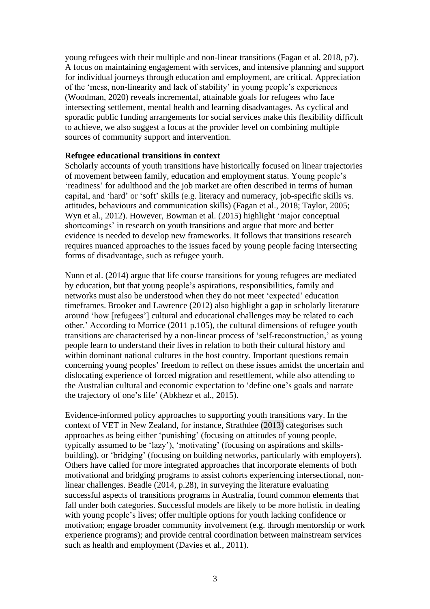young refugees with their multiple and non-linear transitions (Fagan et al. 2018, p7). A focus on maintaining engagement with services, and intensive planning and support for individual journeys through education and employment, are critical. Appreciation of the 'mess, non-linearity and lack of stability' in young people's experiences (Woodman, 2020) reveals incremental, attainable goals for refugees who face intersecting settlement, mental health and learning disadvantages. As cyclical and sporadic public funding arrangements for social services make this flexibility difficult to achieve, we also suggest a focus at the provider level on combining multiple sources of community support and intervention.

### **Refugee educational transitions in context**

Scholarly accounts of youth transitions have historically focused on linear trajectories of movement between family, education and employment status. Young people's 'readiness' for adulthood and the job market are often described in terms of human capital, and 'hard' or 'soft' skills (e.g. literacy and numeracy, job-specific skills vs. attitudes, behaviours and communication skills) (Fagan et al., 2018; Taylor, 2005; Wyn et al., 2012). However, Bowman et al. (2015) highlight 'major conceptual shortcomings' in research on youth transitions and argue that more and better evidence is needed to develop new frameworks. It follows that transitions research requires nuanced approaches to the issues faced by young people facing intersecting forms of disadvantage, such as refugee youth.

Nunn et al. (2014) argue that life course transitions for young refugees are mediated by education, but that young people's aspirations, responsibilities, family and networks must also be understood when they do not meet 'expected' education timeframes. Brooker and Lawrence (2012) also highlight a gap in scholarly literature around 'how [refugees'] cultural and educational challenges may be related to each other.' According to Morrice (2011 p.105), the cultural dimensions of refugee youth transitions are characterised by a non-linear process of 'self-reconstruction,' as young people learn to understand their lives in relation to both their cultural history and within dominant national cultures in the host country. Important questions remain concerning young peoples' freedom to reflect on these issues amidst the uncertain and dislocating experience of forced migration and resettlement, while also attending to the Australian cultural and economic expectation to 'define one's goals and narrate the trajectory of one's life' (Abkhezr et al., 2015).

Evidence-informed policy approaches to supporting youth transitions vary. In the context of VET in New Zealand, for instance, Strathdee (2013) categorises such approaches as being either 'punishing' (focusing on attitudes of young people, typically assumed to be 'lazy'), 'motivating' (focusing on aspirations and skillsbuilding), or 'bridging' (focusing on building networks, particularly with employers). Others have called for more integrated approaches that incorporate elements of both motivational and bridging programs to assist cohorts experiencing intersectional, nonlinear challenges. Beadle (2014, p.28), in surveying the literature evaluating successful aspects of transitions programs in Australia, found common elements that fall under both categories. Successful models are likely to be more holistic in dealing with young people's lives; offer multiple options for youth lacking confidence or motivation; engage broader community involvement (e.g. through mentorship or work experience programs); and provide central coordination between mainstream services such as health and employment (Davies et al., 2011).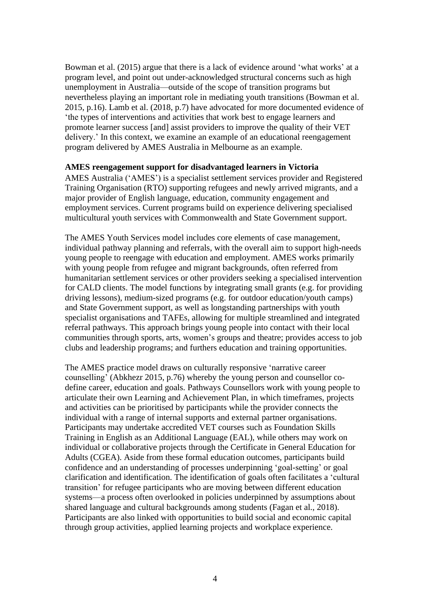Bowman et al. (2015) argue that there is a lack of evidence around 'what works' at a program level, and point out under-acknowledged structural concerns such as high unemployment in Australia—outside of the scope of transition programs but nevertheless playing an important role in mediating youth transitions (Bowman et al. 2015, p.16). Lamb et al. (2018, p.7) have advocated for more documented evidence of 'the types of interventions and activities that work best to engage learners and promote learner success [and] assist providers to improve the quality of their VET delivery.' In this context, we examine an example of an educational reengagement program delivered by AMES Australia in Melbourne as an example.

### **AMES reengagement support for disadvantaged learners in Victoria**

AMES Australia ('AMES') is a specialist settlement services provider and Registered Training Organisation (RTO) supporting refugees and newly arrived migrants, and a major provider of English language, education, community engagement and employment services. Current programs build on experience delivering specialised multicultural youth services with Commonwealth and State Government support.

The AMES Youth Services model includes core elements of case management, individual pathway planning and referrals, with the overall aim to support high-needs young people to reengage with education and employment. AMES works primarily with young people from refugee and migrant backgrounds, often referred from humanitarian settlement services or other providers seeking a specialised intervention for CALD clients. The model functions by integrating small grants (e.g. for providing driving lessons), medium-sized programs (e.g. for outdoor education/youth camps) and State Government support, as well as longstanding partnerships with youth specialist organisations and TAFEs, allowing for multiple streamlined and integrated referral pathways. This approach brings young people into contact with their local communities through sports, arts, women's groups and theatre; provides access to job clubs and leadership programs; and furthers education and training opportunities.

The AMES practice model draws on culturally responsive 'narrative career counselling' (Abkhezr 2015, p.76) whereby the young person and counsellor codefine career, education and goals. Pathways Counsellors work with young people to articulate their own Learning and Achievement Plan, in which timeframes, projects and activities can be prioritised by participants while the provider connects the individual with a range of internal supports and external partner organisations. Participants may undertake accredited VET courses such as Foundation Skills Training in English as an Additional Language (EAL), while others may work on individual or collaborative projects through the Certificate in General Education for Adults (CGEA). Aside from these formal education outcomes, participants build confidence and an understanding of processes underpinning 'goal-setting' or goal clarification and identification. The identification of goals often facilitates a 'cultural transition' for refugee participants who are moving between different education systems—a process often overlooked in policies underpinned by assumptions about shared language and cultural backgrounds among students (Fagan et al., 2018). Participants are also linked with opportunities to build social and economic capital through group activities, applied learning projects and workplace experience.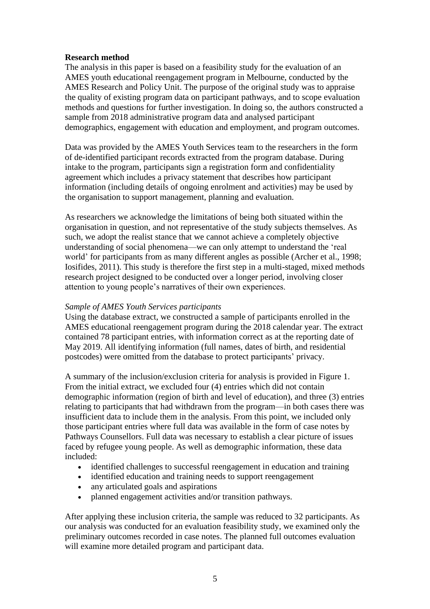# **Research method**

The analysis in this paper is based on a feasibility study for the evaluation of an AMES youth educational reengagement program in Melbourne, conducted by the AMES Research and Policy Unit. The purpose of the original study was to appraise the quality of existing program data on participant pathways, and to scope evaluation methods and questions for further investigation. In doing so, the authors constructed a sample from 2018 administrative program data and analysed participant demographics, engagement with education and employment, and program outcomes.

Data was provided by the AMES Youth Services team to the researchers in the form of de-identified participant records extracted from the program database. During intake to the program, participants sign a registration form and confidentiality agreement which includes a privacy statement that describes how participant information (including details of ongoing enrolment and activities) may be used by the organisation to support management, planning and evaluation.

As researchers we acknowledge the limitations of being both situated within the organisation in question, and not representative of the study subjects themselves. As such, we adopt the realist stance that we cannot achieve a completely objective understanding of social phenomena—we can only attempt to understand the 'real world' for participants from as many different angles as possible (Archer et al., 1998; Iosifides, 2011). This study is therefore the first step in a multi-staged, mixed methods research project designed to be conducted over a longer period, involving closer attention to young people's narratives of their own experiences.

# *Sample of AMES Youth Services participants*

Using the database extract, we constructed a sample of participants enrolled in the AMES educational reengagement program during the 2018 calendar year. The extract contained 78 participant entries, with information correct as at the reporting date of May 2019. All identifying information (full names, dates of birth, and residential postcodes) were omitted from the database to protect participants' privacy.

A summary of the inclusion/exclusion criteria for analysis is provided in Figure 1. From the initial extract, we excluded four (4) entries which did not contain demographic information (region of birth and level of education), and three (3) entries relating to participants that had withdrawn from the program—in both cases there was insufficient data to include them in the analysis. From this point, we included only those participant entries where full data was available in the form of case notes by Pathways Counsellors. Full data was necessary to establish a clear picture of issues faced by refugee young people. As well as demographic information, these data included:

- identified challenges to successful reengagement in education and training
- identified education and training needs to support reengagement
- any articulated goals and aspirations
- planned engagement activities and/or transition pathways.

After applying these inclusion criteria, the sample was reduced to 32 participants. As our analysis was conducted for an evaluation feasibility study, we examined only the preliminary outcomes recorded in case notes. The planned full outcomes evaluation will examine more detailed program and participant data.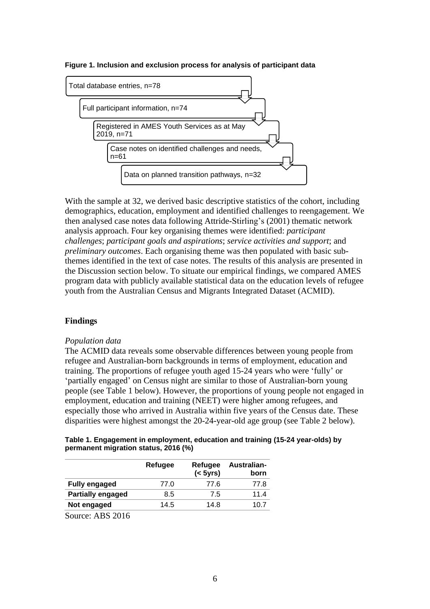**Figure 1. Inclusion and exclusion process for analysis of participant data**



With the sample at 32, we derived basic descriptive statistics of the cohort, including demographics, education, employment and identified challenges to reengagement. We then analysed case notes data following Attride-Stirling's (2001) thematic network analysis approach. Four key organising themes were identified: *participant challenges*; *participant goals and aspirations*; *service activities and support*; and *preliminary outcomes*. Each organising theme was then populated with basic subthemes identified in the text of case notes. The results of this analysis are presented in the Discussion section below. To situate our empirical findings, we compared AMES program data with publicly available statistical data on the education levels of refugee youth from the Australian Census and Migrants Integrated Dataset (ACMID).

# **Findings**

# *Population data*

The ACMID data reveals some observable differences between young people from refugee and Australian-born backgrounds in terms of employment, education and training. The proportions of refugee youth aged 15-24 years who were 'fully' or 'partially engaged' on Census night are similar to those of Australian-born young people (see Table 1 below). However, the proportions of young people not engaged in employment, education and training (NEET) were higher among refugees, and especially those who arrived in Australia within five years of the Census date. These disparities were highest amongst the 20-24-year-old age group (see Table 2 below).

|                                      | Table 1. Engagement in employment, education and training (15-24 year-olds) by |
|--------------------------------------|--------------------------------------------------------------------------------|
| permanent migration status, 2016 (%) |                                                                                |

|                                                | Refugee | Refugee<br>(< 5yrs) | Australian-<br>born |
|------------------------------------------------|---------|---------------------|---------------------|
| <b>Fully engaged</b>                           | 77.0    | 77.6                | 77.8                |
| <b>Partially engaged</b>                       | 8.5     | 7.5                 | 11.4                |
| Not engaged                                    | 14.5    | 14.8                | 10.7                |
| $\cdots$ $\sim$ $\sim$ $\sim$ $\sim$<br>$\sim$ |         |                     |                     |

Source: ABS 2016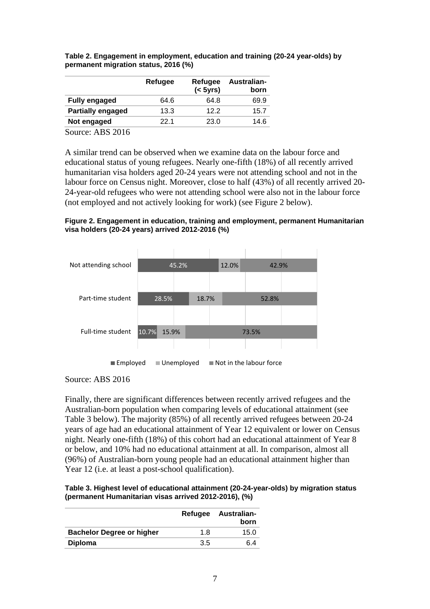|                          | Refugee | Refugee<br>(< 5yrs) | Australian-<br>born |
|--------------------------|---------|---------------------|---------------------|
| <b>Fully engaged</b>     | 64.6    | 64.8                | 69.9                |
| <b>Partially engaged</b> | 13.3    | 122                 | 15.7                |
| Not engaged              | 22 1    | 23.0                | 14.6                |
| $\sqrt{2}$<br>$\sim$     |         |                     |                     |

**Table 2. Engagement in employment, education and training (20-24 year-olds) by permanent migration status, 2016 (%)**

Source: ABS 2016

A similar trend can be observed when we examine data on the labour force and educational status of young refugees. Nearly one-fifth (18%) of all recently arrived humanitarian visa holders aged 20-24 years were not attending school and not in the labour force on Census night. Moreover, close to half (43%) of all recently arrived 20- 24-year-old refugees who were not attending school were also not in the labour force (not employed and not actively looking for work) (see Figure 2 below).

**Figure 2. Engagement in education, training and employment, permanent Humanitarian visa holders (20-24 years) arrived 2012-2016 (%)**



Source: ABS 2016

Finally, there are significant differences between recently arrived refugees and the Australian-born population when comparing levels of educational attainment (see Table 3 below). The majority (85%) of all recently arrived refugees between 20-24 years of age had an educational attainment of Year 12 equivalent or lower on Census night. Nearly one-fifth (18%) of this cohort had an educational attainment of Year 8 or below, and 10% had no educational attainment at all. In comparison, almost all (96%) of Australian-born young people had an educational attainment higher than Year 12 (*i.e.* at least a post-school qualification).

**Table 3. Highest level of educational attainment (20-24-year-olds) by migration status (permanent Humanitarian visas arrived 2012-2016), (%)**

|                                  |     | Refugee Australian-<br>born |
|----------------------------------|-----|-----------------------------|
| <b>Bachelor Degree or higher</b> | 1.8 | 15.0                        |
| <b>Diploma</b>                   | 3.5 | 6 4                         |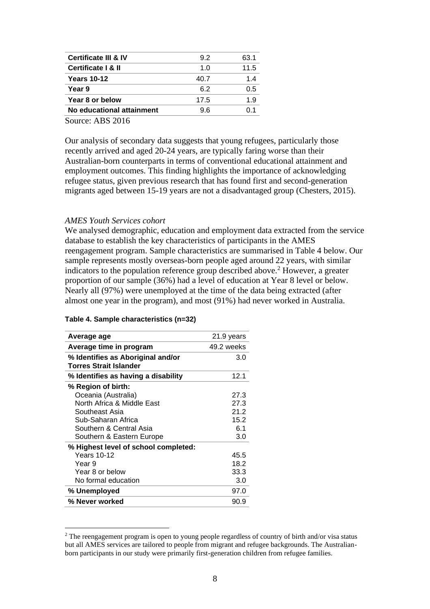| <b>Certificate III &amp; IV</b> | 92   | 63.1 |
|---------------------------------|------|------|
| Certificate   & II              | 1 በ  | 11.5 |
| <b>Years 10-12</b>              | 40.7 | 14   |
| Year 9                          | 62   | 0.5  |
| Year 8 or below                 | 17.5 | 1.9  |
| No educational attainment       | 96   | በ 1  |

Source: ABS 2016

Our analysis of secondary data suggests that young refugees, particularly those recently arrived and aged 20-24 years, are typically faring worse than their Australian-born counterparts in terms of conventional educational attainment and employment outcomes. This finding highlights the importance of acknowledging refugee status, given previous research that has found first and second-generation migrants aged between 15-19 years are not a disadvantaged group (Chesters, 2015).

### *AMES Youth Services cohort*

We analysed demographic, education and employment data extracted from the service database to establish the key characteristics of participants in the AMES reengagement program. Sample characteristics are summarised in Table 4 below. Our sample represents mostly overseas-born people aged around 22 years, with similar indicators to the population reference group described above.<sup>2</sup> However, a greater proportion of our sample (36%) had a level of education at Year 8 level or below. Nearly all (97%) were unemployed at the time of the data being extracted (after almost one year in the program), and most (91%) had never worked in Australia.

| Average age                                                        | 21.9 years |
|--------------------------------------------------------------------|------------|
| Average time in program                                            | 49.2 weeks |
| % Identifies as Aboriginal and/or<br><b>Torres Strait Islander</b> | 3.0        |
| % Identifies as having a disability                                | 12.1       |
| % Region of birth:                                                 |            |
| Oceania (Australia)                                                | 27.3       |
| North Africa & Middle East                                         | 27.3       |
| Southeast Asia                                                     | 21.2       |
| Sub-Saharan Africa                                                 | 15.2       |
| Southern & Central Asia                                            | 61         |
| Southern & Eastern Europe                                          | 3.0        |
| % Highest level of school completed:                               |            |
| <b>Years 10-12</b>                                                 | 45.5       |
| Year 9                                                             | 18.2       |
| Year 8 or below                                                    | 33.3       |
| No formal education                                                | 3.0        |
| % Unemployed                                                       | 97.0       |
| % Never worked                                                     | 90.9       |

#### **Table 4. Sample characteristics (n=32)**

<sup>&</sup>lt;sup>2</sup> The reengagement program is open to young people regardless of country of birth and/or visa status but all AMES services are tailored to people from migrant and refugee backgrounds. The Australianborn participants in our study were primarily first-generation children from refugee families.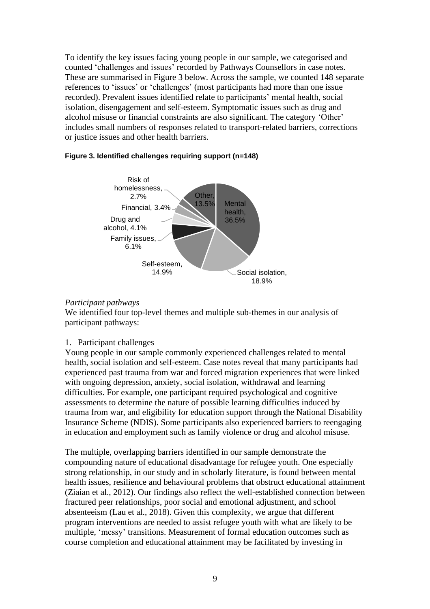To identify the key issues facing young people in our sample, we categorised and counted 'challenges and issues' recorded by Pathways Counsellors in case notes. These are summarised in Figure 3 below. Across the sample, we counted 148 separate references to 'issues' or 'challenges' (most participants had more than one issue recorded). Prevalent issues identified relate to participants' mental health, social isolation, disengagement and self-esteem. Symptomatic issues such as drug and alcohol misuse or financial constraints are also significant. The category 'Other' includes small numbers of responses related to transport-related barriers, corrections or justice issues and other health barriers.



# **Figure 3. Identified challenges requiring support (n=148)**

# *Participant pathways*

We identified four top-level themes and multiple sub-themes in our analysis of participant pathways:

# 1. Participant challenges

Young people in our sample commonly experienced challenges related to mental health, social isolation and self-esteem. Case notes reveal that many participants had experienced past trauma from war and forced migration experiences that were linked with ongoing depression, anxiety, social isolation, withdrawal and learning difficulties. For example, one participant required psychological and cognitive assessments to determine the nature of possible learning difficulties induced by trauma from war, and eligibility for education support through the National Disability Insurance Scheme (NDIS). Some participants also experienced barriers to reengaging in education and employment such as family violence or drug and alcohol misuse.

The multiple, overlapping barriers identified in our sample demonstrate the compounding nature of educational disadvantage for refugee youth. One especially strong relationship, in our study and in scholarly literature, is found between mental health issues, resilience and behavioural problems that obstruct educational attainment (Ziaian et al., 2012). Our findings also reflect the well-established connection between fractured peer relationships, poor social and emotional adjustment, and school absenteeism (Lau et al., 2018). Given this complexity, we argue that different program interventions are needed to assist refugee youth with what are likely to be multiple, 'messy' transitions. Measurement of formal education outcomes such as course completion and educational attainment may be facilitated by investing in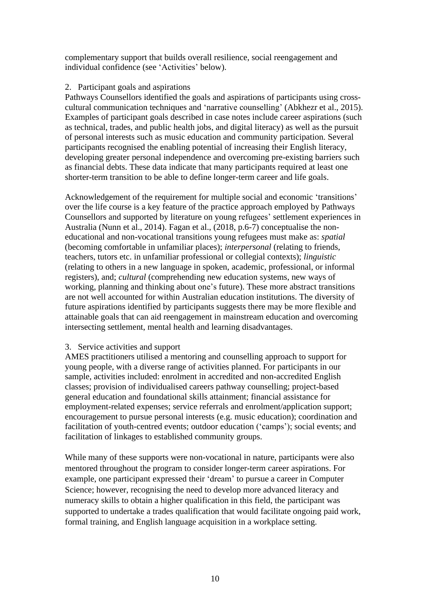complementary support that builds overall resilience, social reengagement and individual confidence (see 'Activities' below).

# 2. Participant goals and aspirations

Pathways Counsellors identified the goals and aspirations of participants using crosscultural communication techniques and 'narrative counselling' (Abkhezr et al., 2015). Examples of participant goals described in case notes include career aspirations (such as technical, trades, and public health jobs, and digital literacy) as well as the pursuit of personal interests such as music education and community participation. Several participants recognised the enabling potential of increasing their English literacy, developing greater personal independence and overcoming pre-existing barriers such as financial debts. These data indicate that many participants required at least one shorter-term transition to be able to define longer-term career and life goals.

Acknowledgement of the requirement for multiple social and economic 'transitions' over the life course is a key feature of the practice approach employed by Pathways Counsellors and supported by literature on young refugees' settlement experiences in Australia (Nunn et al., 2014). Fagan et al., (2018, p.6-7) conceptualise the noneducational and non-vocational transitions young refugees must make as: *spatial* (becoming comfortable in unfamiliar places); *interpersonal* (relating to friends, teachers, tutors etc. in unfamiliar professional or collegial contexts); *linguistic* (relating to others in a new language in spoken, academic, professional, or informal registers), and; *cultural* (comprehending new education systems, new ways of working, planning and thinking about one's future). These more abstract transitions are not well accounted for within Australian education institutions. The diversity of future aspirations identified by participants suggests there may be more flexible and attainable goals that can aid reengagement in mainstream education and overcoming intersecting settlement, mental health and learning disadvantages.

# 3. Service activities and support

AMES practitioners utilised a mentoring and counselling approach to support for young people, with a diverse range of activities planned. For participants in our sample, activities included: enrolment in accredited and non-accredited English classes; provision of individualised careers pathway counselling; project-based general education and foundational skills attainment; financial assistance for employment-related expenses; service referrals and enrolment/application support; encouragement to pursue personal interests (e.g. music education); coordination and facilitation of youth-centred events; outdoor education ('camps'); social events; and facilitation of linkages to established community groups.

While many of these supports were non-vocational in nature, participants were also mentored throughout the program to consider longer-term career aspirations. For example, one participant expressed their 'dream' to pursue a career in Computer Science; however, recognising the need to develop more advanced literacy and numeracy skills to obtain a higher qualification in this field, the participant was supported to undertake a trades qualification that would facilitate ongoing paid work, formal training, and English language acquisition in a workplace setting.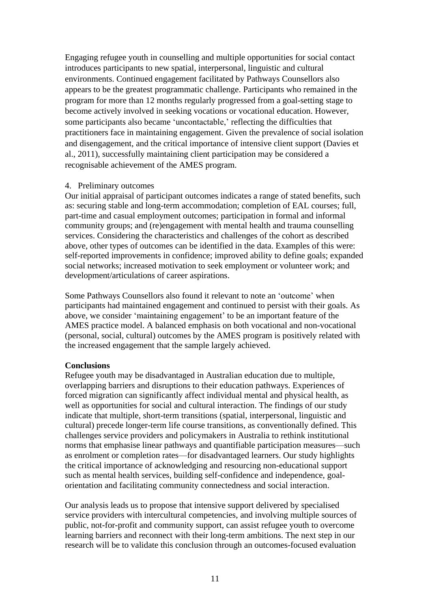Engaging refugee youth in counselling and multiple opportunities for social contact introduces participants to new spatial, interpersonal, linguistic and cultural environments. Continued engagement facilitated by Pathways Counsellors also appears to be the greatest programmatic challenge. Participants who remained in the program for more than 12 months regularly progressed from a goal-setting stage to become actively involved in seeking vocations or vocational education. However, some participants also became 'uncontactable,' reflecting the difficulties that practitioners face in maintaining engagement. Given the prevalence of social isolation and disengagement, and the critical importance of intensive client support (Davies et al., 2011), successfully maintaining client participation may be considered a recognisable achievement of the AMES program.

### 4. Preliminary outcomes

Our initial appraisal of participant outcomes indicates a range of stated benefits, such as: securing stable and long-term accommodation; completion of EAL courses; full, part-time and casual employment outcomes; participation in formal and informal community groups; and (re)engagement with mental health and trauma counselling services. Considering the characteristics and challenges of the cohort as described above, other types of outcomes can be identified in the data. Examples of this were: self-reported improvements in confidence; improved ability to define goals; expanded social networks; increased motivation to seek employment or volunteer work; and development/articulations of career aspirations.

Some Pathways Counsellors also found it relevant to note an 'outcome' when participants had maintained engagement and continued to persist with their goals. As above, we consider 'maintaining engagement' to be an important feature of the AMES practice model. A balanced emphasis on both vocational and non-vocational (personal, social, cultural) outcomes by the AMES program is positively related with the increased engagement that the sample largely achieved.

# **Conclusions**

Refugee youth may be disadvantaged in Australian education due to multiple, overlapping barriers and disruptions to their education pathways. Experiences of forced migration can significantly affect individual mental and physical health, as well as opportunities for social and cultural interaction. The findings of our study indicate that multiple, short-term transitions (spatial, interpersonal, linguistic and cultural) precede longer-term life course transitions, as conventionally defined. This challenges service providers and policymakers in Australia to rethink institutional norms that emphasise linear pathways and quantifiable participation measures—such as enrolment or completion rates—for disadvantaged learners. Our study highlights the critical importance of acknowledging and resourcing non-educational support such as mental health services, building self-confidence and independence, goalorientation and facilitating community connectedness and social interaction.

Our analysis leads us to propose that intensive support delivered by specialised service providers with intercultural competencies, and involving multiple sources of public, not-for-profit and community support, can assist refugee youth to overcome learning barriers and reconnect with their long-term ambitions. The next step in our research will be to validate this conclusion through an outcomes-focused evaluation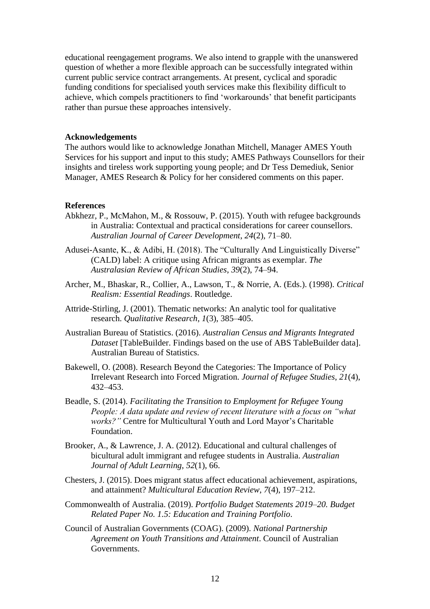educational reengagement programs. We also intend to grapple with the unanswered question of whether a more flexible approach can be successfully integrated within current public service contract arrangements. At present, cyclical and sporadic funding conditions for specialised youth services make this flexibility difficult to achieve, which compels practitioners to find 'workarounds' that benefit participants rather than pursue these approaches intensively.

### **Acknowledgements**

The authors would like to acknowledge Jonathan Mitchell, Manager AMES Youth Services for his support and input to this study; AMES Pathways Counsellors for their insights and tireless work supporting young people; and Dr Tess Demediuk, Senior Manager, AMES Research & Policy for her considered comments on this paper.

### **References**

- Abkhezr, P., McMahon, M., & Rossouw, P. (2015). Youth with refugee backgrounds in Australia: Contextual and practical considerations for career counsellors. *Australian Journal of Career Development*, *24*(2), 71–80.
- Adusei-Asante, K., & Adibi, H. (2018). The "Culturally And Linguistically Diverse" (CALD) label: A critique using African migrants as exemplar. *The Australasian Review of African Studies*, *39*(2), 74–94.
- Archer, M., Bhaskar, R., Collier, A., Lawson, T., & Norrie, A. (Eds.). (1998). *Critical Realism: Essential Readings*. Routledge.
- Attride-Stirling, J. (2001). Thematic networks: An analytic tool for qualitative research. *Qualitative Research*, *1*(3), 385–405.
- Australian Bureau of Statistics. (2016). *Australian Census and Migrants Integrated Dataset* [TableBuilder. Findings based on the use of ABS TableBuilder data]. Australian Bureau of Statistics.
- Bakewell, O. (2008). Research Beyond the Categories: The Importance of Policy Irrelevant Research into Forced Migration. *Journal of Refugee Studies*, *21*(4), 432–453.
- Beadle, S. (2014). *Facilitating the Transition to Employment for Refugee Young People: A data update and review of recent literature with a focus on "what works?"* Centre for Multicultural Youth and Lord Mayor's Charitable Foundation.
- Brooker, A., & Lawrence, J. A. (2012). Educational and cultural challenges of bicultural adult immigrant and refugee students in Australia. *Australian Journal of Adult Learning*, *52*(1), 66.
- Chesters, J. (2015). Does migrant status affect educational achievement, aspirations, and attainment? *Multicultural Education Review*, *7*(4), 197–212.
- Commonwealth of Australia. (2019). *Portfolio Budget Statements 2019–20. Budget Related Paper No. 1.5: Education and Training Portfolio*.
- Council of Australian Governments (COAG). (2009). *National Partnership Agreement on Youth Transitions and Attainment*. Council of Australian Governments.